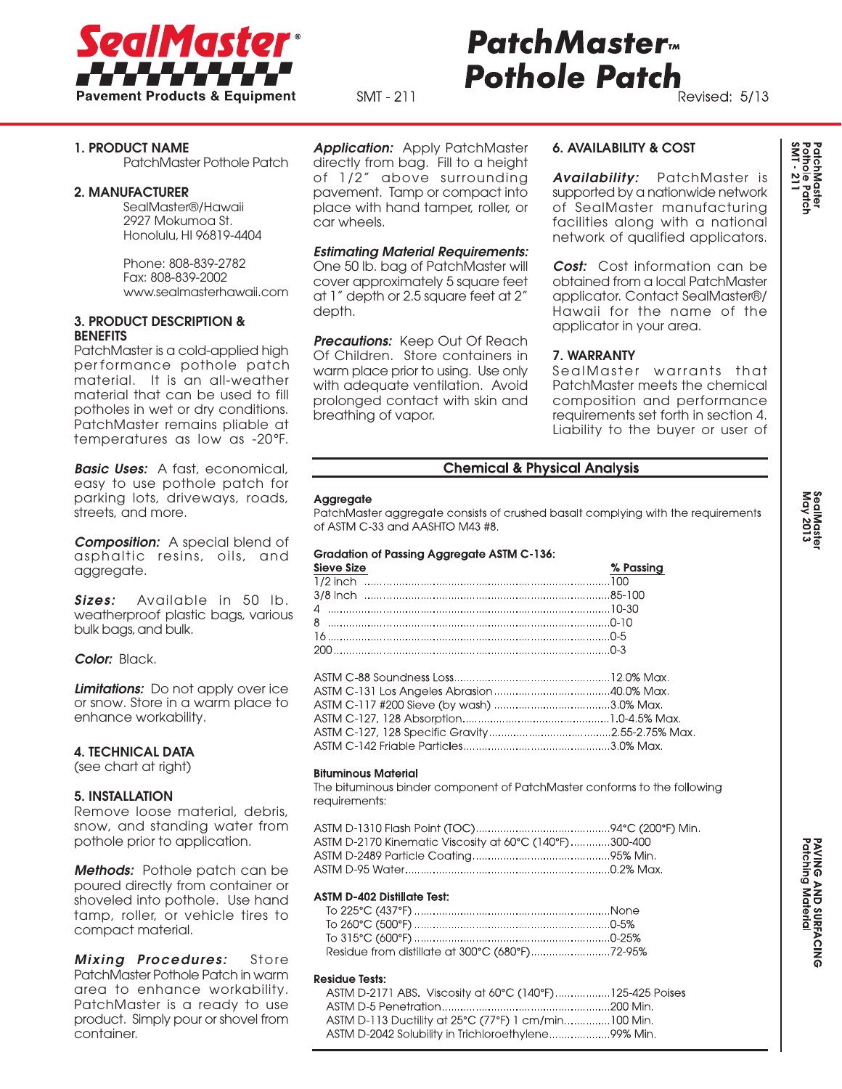

# **Patch Master Pothole Patch**

SMT - 211

# Revised: 5/13

# 1. PRODUCT NAME

PatchMaster Pothole Patch

#### 2. MANUFACTURER

SealMaster®/Hawaii 2927 Mokumoa St. Honolulu, HI 96819-4404

Phone: 808-839-2782 Fax: 808-839-2002 www.sealmasterhawaii.com

## 3. PRODUCT DESCRIPTION & **BENEFITS**

PatchMaster is a cold-applied high per formance pothole patch material. It is an all-weather material that can be used to fill potholes in wet or dry conditions. PatchMaster remains pliable at temperatures as low as -20°F.

*Basic Uses:* A fast, economical, easy to use pothole patch for parking lots, driveways, roads, streets, and more.

*Composition:* A special blend of asphaltic resins, oils, and aggregate.

*Sizes:* Available in 50 lb. weatherproof plastic bags, various bulk bags, and bulk.

*Color:* Black.

*Limitations:* Do not apply over ice or snow. Store in a warm place to enhance workability.

## 4. TECHNICAL DATA

(see chart at right)

### 5. INSTALLATION

Remove loose material, debris, snow, and standing water from pothole prior to application.

*Methods:* Pothole patch can be poured directly from container or shoveled into pothole. Use hand tamp, roller, or vehicle tires to compact material.

*Mixing Procedures:* Store PatchMaster Pothole Patch in warm area to enhance workability. PatchMaster is a ready to use product. Simply pour or shovel from container.

*Application:* Apply PatchMaster directly from bag. Fill to a height of 1/2" above surrounding pavement. Tamp or compact into place with hand tamper, roller, or car wheels.

### *Estimating Material Requirements:*

One 50 lb. bag of PatchMaster will cover approximately 5 square feet at 1" depth or 2.5 square feet at 2" depth.

**Precautions:** Keep Out Of Reach Of Children. Store containers in warm place prior to using. Use only with adequate ventilation. Avoid prolonged contact with skin and breathing of vapor.

## 6. AVAILABILITY & COST

*Availability:* PatchMaster is supported by a nationwide network of SealMaster manufacturing facilities along with a national network of qualified applicators.

*Cost:* Cost information can be obtained from a local PatchMaster applicator. Contact SealMaster®/ Hawaii for the name of the applicator in your area.

## 7. WARRANTY

SealMaster warrants that PatchMaster meets the chemical composition and performance requirements set forth in section 4. Liability to the buyer or user of

## **Chemical & Physical Analysis**

#### Aggregate

PatchMaster aggregate consists of crushed basalt complying with the requirements of ASTM C-33 and AASHTO M43 #8.

#### Gradation of Passing Aggregate ASTM C-136:

| Sieve Size | % Passing |
|------------|-----------|
|            |           |
|            |           |
|            |           |
|            |           |
|            |           |
|            |           |

#### **Bituminous Material**

The bituminous binder component of PatchMaster conforms to the following requirements:

ASTM D-2170 Kinematic Viscosity at 60°C (140°F)............300-400 

#### **ASTM D-402 Distillate Test:**

#### **Residue Tests:**

ASTM D-2171 ABS. Viscosity at 60°C (140°F).................125-425 Poises ASTM D-113 Ductility at 25°C (77°F) 1 cm/min...............100 Min. ASTM D-2042 Solubility in Trichloroethylene.....................99% Min.

PatchMaster<br>Pothole Patch<br>SMT - 211